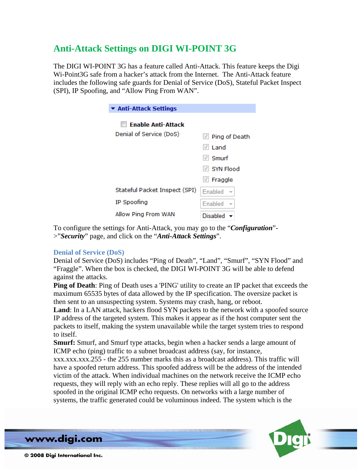# **Anti-Attack Settings on DIGI WI-POINT 3G**

The DIGI WI-POINT 3G has a feature called Anti-Attack. This feature keeps the Digi Wi-Point3G safe from a hacker's attack from the Internet. The Anti-Attack feature includes the following safe guards for Denial of Service (DoS), Stateful Packet Inspect (SPI), IP Spoofing, and "Allow Ping From WAN".

| $\blacktriangleright$ Anti-Attack Settings |                                            |
|--------------------------------------------|--------------------------------------------|
| <b>Enable Anti-Attack</b>                  |                                            |
| Denial of Service (DoS)                    | $\vee$ Ping of Death                       |
|                                            | $\vee$ Land                                |
|                                            | $\sqrt{}$ Smurf                            |
|                                            | $\vee$ SYN Flood                           |
|                                            | $\vee$ Fraggle                             |
| Stateful Packet Inspect (SPI)              | <b>Enabled</b><br>$\overline{\phantom{a}}$ |
| IP Spoofing                                | Enabled                                    |
| Allow Ping From WAN                        | <b>Disabled</b>                            |

To configure the settings for Anti-Attack, you may go to the "*Configuration*"- >"*Security*" page, and click on the "*Anti-Attack Settings*".

# **Denial of Service (DoS)**

Denial of Service (DoS) includes "Ping of Death", "Land", "Smurf", "SYN Flood" and "Fraggle". When the box is checked, the DIGI WI-POINT 3G will be able to defend against the attacks.

**Ping of Death**: Ping of Death uses a 'PING' utility to create an IP packet that exceeds the maximum 65535 bytes of data allowed by the IP specification. The oversize packet is then sent to an unsuspecting system. Systems may crash, hang, or reboot.

**Land**: In a LAN attack, hackers flood SYN packets to the network with a spoofed source IP address of the targeted system. This makes it appear as if the host computer sent the packets to itself, making the system unavailable while the target system tries to respond to itself.

**Smurf:** Smurf, and Smurf type attacks, begin when a hacker sends a large amount of ICMP echo (ping) traffic to a subnet broadcast address (say, for instance,

xxx.xxx.xxx.255 - the 255 number marks this as a broadcast address). This traffic will have a spoofed return address. This spoofed address will be the address of the intended victim of the attack. When individual machines on the network receive the ICMP echo requests, they will reply with an echo reply. These replies will all go to the address spoofed in the original ICMP echo requests. On networks with a large number of systems, the traffic generated could be voluminous indeed. The system which is the



www.digi.com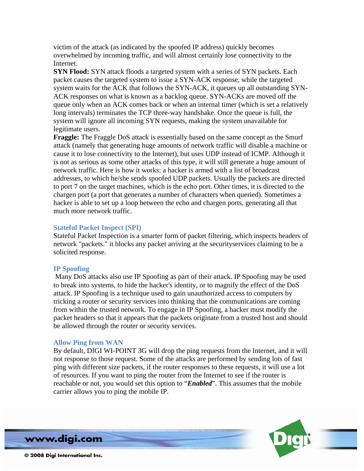victim of the attack (as indicated by the spoofed IP address) quickly becomes overwhelmed by incoming traffic, and will almost certainly lose connectivity to the Internet.

**SYN Flood:** SYN attack floods a targeted system with a series of SYN packets. Each packet causes the targeted system to issue a SYN-ACK response, while the targeted system waits for the ACK that follows the SYN-ACK, it queues up all outstanding SYN-ACK responses on what is known as a backlog queue. SYN-ACKs are moved off the queue only when an ACK comes back or when an internal timer (which is set a relatively long intervals) terminates the TCP three-way handshake. Once the queue is full, the system will ignore all incoming SYN requests, making the system unavailable for legitimate users.

**Fraggle:** The Fraggle DoS attack is essentially based on the same concept as the Smurf attack (namely that generating huge amounts of network traffic will disable a machine or cause it to lose connectivity to the Internet), but uses UDP instead of ICMP. Although it is not as serious as some other attacks of this type, it will still generate a huge amount of network traffic. Here is how it works: a hacker is armed with a list of broadcast addresses, to which he/she sends spoofed UDP packets. Usually the packets are directed to port 7 on the target machines, which is the echo port. Other times, it is directed to the chargen port (a port that generates a number of characters when queried). Sometimes a hacker is able to set up a loop between the echo and chargen ports, generating all that much more network traffic.

### **Stateful Packet Inspect (SPI)**

Stateful Packet Inspection is a smarter form of packet filtering, which inspects headers of network "packets." it blocks any packet arriving at the securityservices claiming to be a solicited response.

### **IP Spoofing**

 Many DoS attacks also use IP Spoofing as part of their attack. IP Spoofing may be used to break into systems, to hide the hacker's identity, or to magnify the effect of the DoS attack. IP Spoofing is a technique used to gain unauthorized access to computers by tricking a router or security services into thinking that the communications are coming from within the trusted network. To engage in IP Spoofing, a hacker must modify the packet headers so that it appears that the packets originate from a trusted host and should be allowed through the router or security services.

# **Allow Ping from WAN**

By default, DIGI WI-POINT 3G will drop the ping requests from the Internet, and it will not response to those request. Some of the attacks are performed by sending lots of fast ping with different size packets, if the router responses to these requests, it will use a lot of resources. If you want to ping the router from the Internet to see if the router is reachable or not, you would set this option to "*Enabled*". This assumes that the mobile carrier allows you to ping the mobile IP.



www.digi.com

© 2008 Digi International Inc.